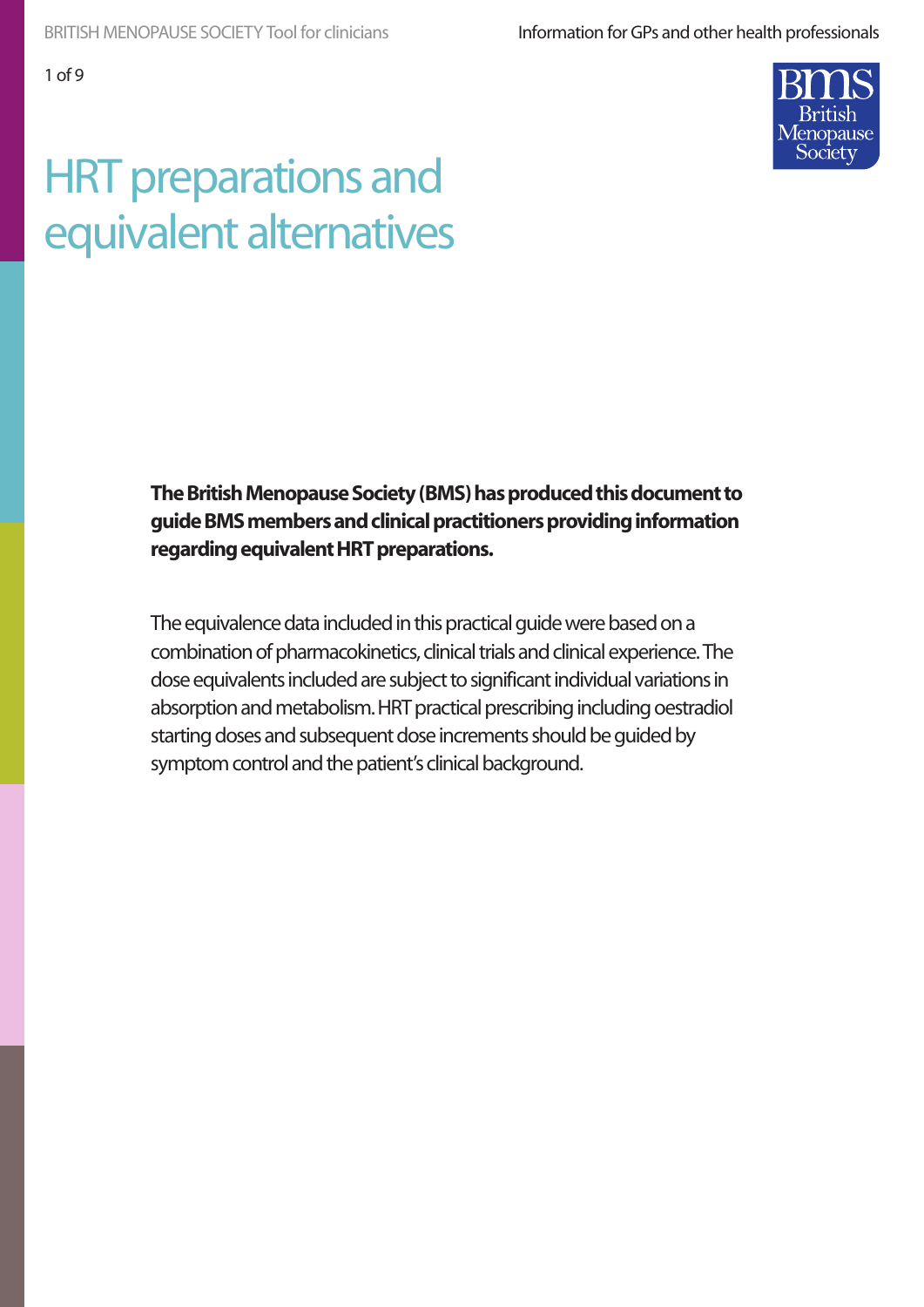1 of 9

# HRT preparations and equivalent alternatives

**The British Menopause Society (BMS) has produced this document to guide BMS members and clinical practitioners providing information regarding equivalent HRT preparations.**

The equivalence data included in this practical guide were based on a combination of pharmacokinetics, clinical trials and clinical experience. The dose equivalents included are subject to significant individual variations in absorption and metabolism. HRT practical prescribing including oestradiol starting doses and subsequent dose increments should be guided by symptom control and the patient's clinical background.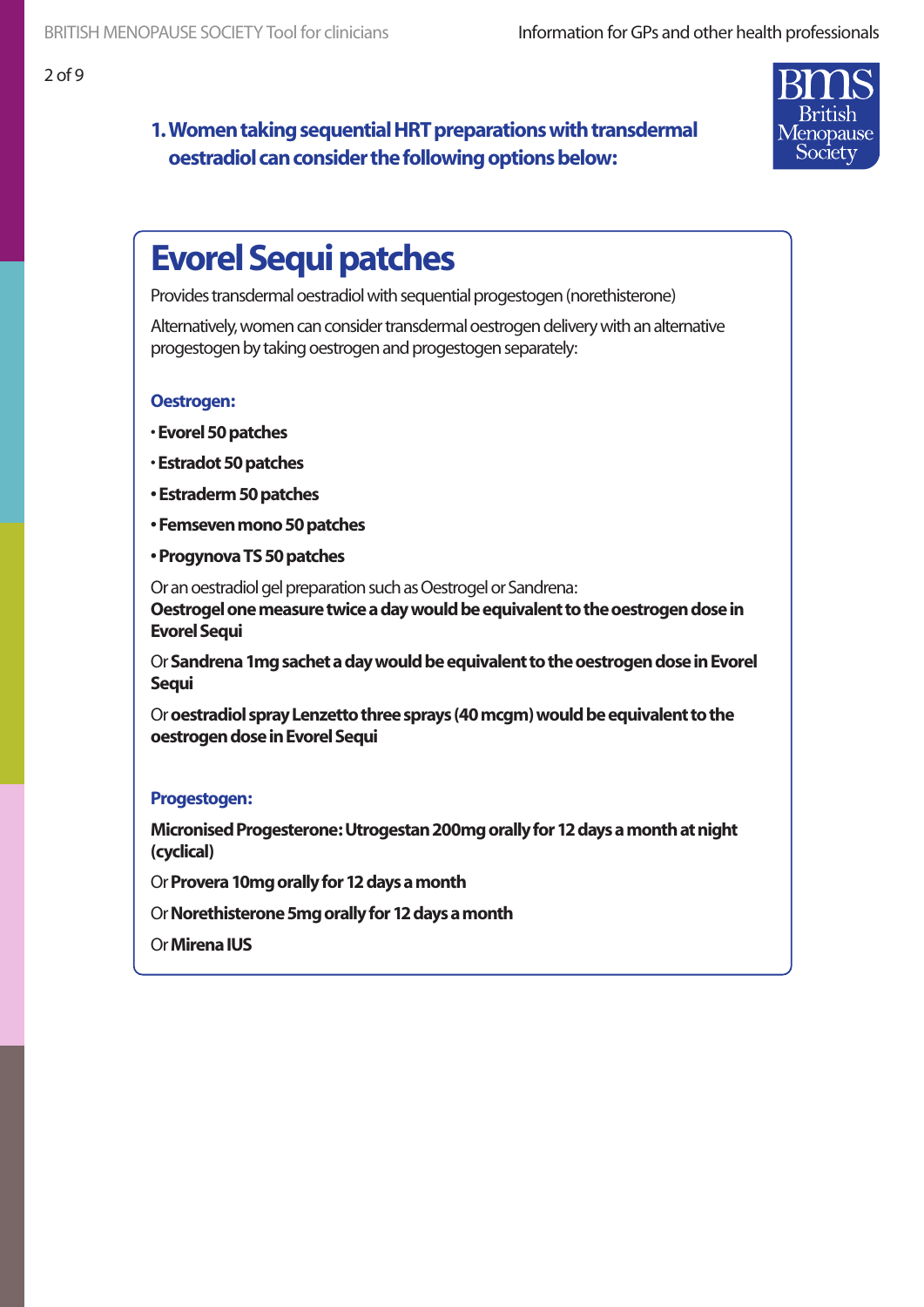# **1. Women taking sequential HRT preparations with transdermal oestradiol can consider the following options below:**



# **Evorel Sequi patches**

Provides transdermal oestradiol with sequential progestogen (norethisterone)

Alternatively, women can consider transdermal oestrogen delivery with an alternative progestogen by taking oestrogen and progestogen separately:

#### **Oestrogen:**

- **Evorel 50 patches**
- **Estradot 50 patches**
- **Estraderm 50 patches**
- **Femseven mono 50 patches**
- **Progynova TS 50 patches**

Or an oestradiol gel preparation such as Oestrogel or Sandrena: **Oestrogel one measure twice a day would be equivalent to the oestrogen dose in Evorel Sequi**

Or **Sandrena 1mg sachet a day would be equivalent to the oestrogen dose in Evorel Sequi**

Or **oestradiol spray Lenzetto three sprays (40 mcgm) would be equivalent to the oestrogen dose in Evorel Sequi**

#### **Progestogen:**

**Micronised Progesterone: Utrogestan 200mg orally for 12 days a month at night (cyclical)**

Or **Provera 10mg orally for 12 days a month**

- Or **Norethisterone 5mg orally for 12 days a month**
- Or **Mirena IUS**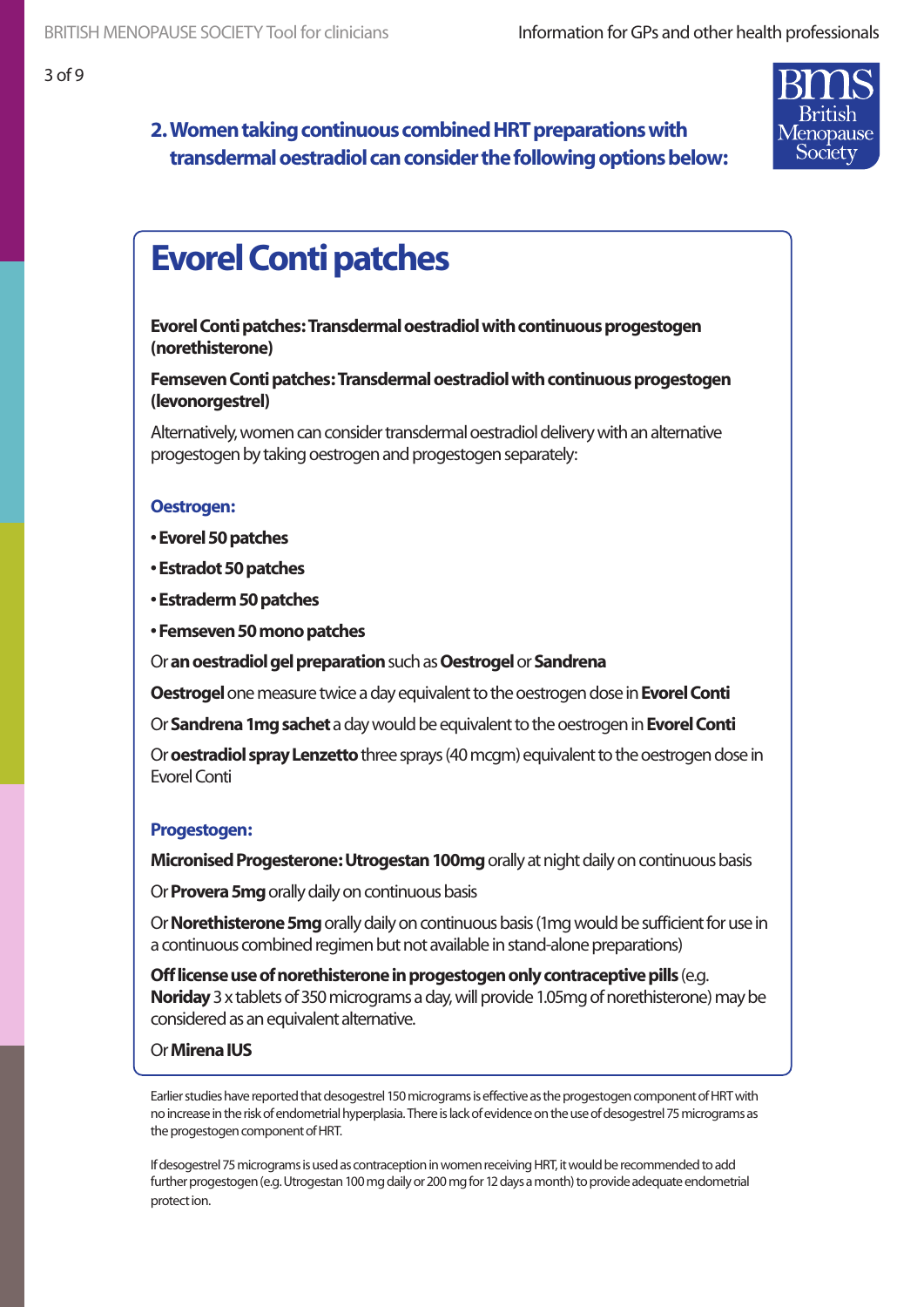# opause Society

# **2. Women taking continuous combined HRT preparations with transdermal oestradiol can consider the following options below:**

# **Evorel Conti patches**

**Evorel Conti patches: Transdermal oestradiol with continuous progestogen (norethisterone)**

**Femseven Conti patches: Transdermal oestradiol with continuous progestogen (levonorgestrel)**

Alternatively, women can consider transdermal oestradiol delivery with an alternative progestogen by taking oestrogen and progestogen separately:

#### **Oestrogen:**

- **Evorel 50 patches**
- **Estradot 50 patches**
- **Estraderm 50 patches**
- **Femseven 50 mono patches**
- Or **an oestradiol gel preparation** such as **Oestrogel** or **Sandrena**

**Oestrogel** one measure twice a day equivalent to the oestrogen dose in **Evorel Conti**

Or **Sandrena 1mg sachet** a day would be equivalent to the oestrogen in **Evorel Conti**

Or **oestradiol spray Lenzetto** three sprays (40 mcgm) equivalent to the oestrogen dose in Evorel Conti

#### **Progestogen:**

**Micronised Progesterone: Utrogestan 100mg** orally at night daily on continuous basis

Or **Provera 5mg** orally daily on continuous basis

Or **Norethisterone 5mg** orally daily on continuous basis (1mg would be sufficient for use in a continuous combined regimen but not available in stand-alone preparations)

**Off license use of norethisterone in progestogen only contraceptive pills** (e.g. **Noriday** 3 x tablets of 350 micrograms a day, will provide 1.05mg of norethisterone) may be considered as an equivalent alternative.

#### Or **Mirena IUS**

Earlier studies have reported that desogestrel 150 micrograms is effective as the progestogen component of HRT with no increase in the risk of endometrial hyperplasia. There is lack of evidence on the use of desogestrel 75 micrograms as the progestogen component of HRT.

If desogestrel 75 micrograms is used as contraception in women receiving HRT, it would be recommended to add further progestogen (e.g. Utrogestan 100 mg daily or 200 mg for 12 days a month) to provide adequate endometrial protect ion.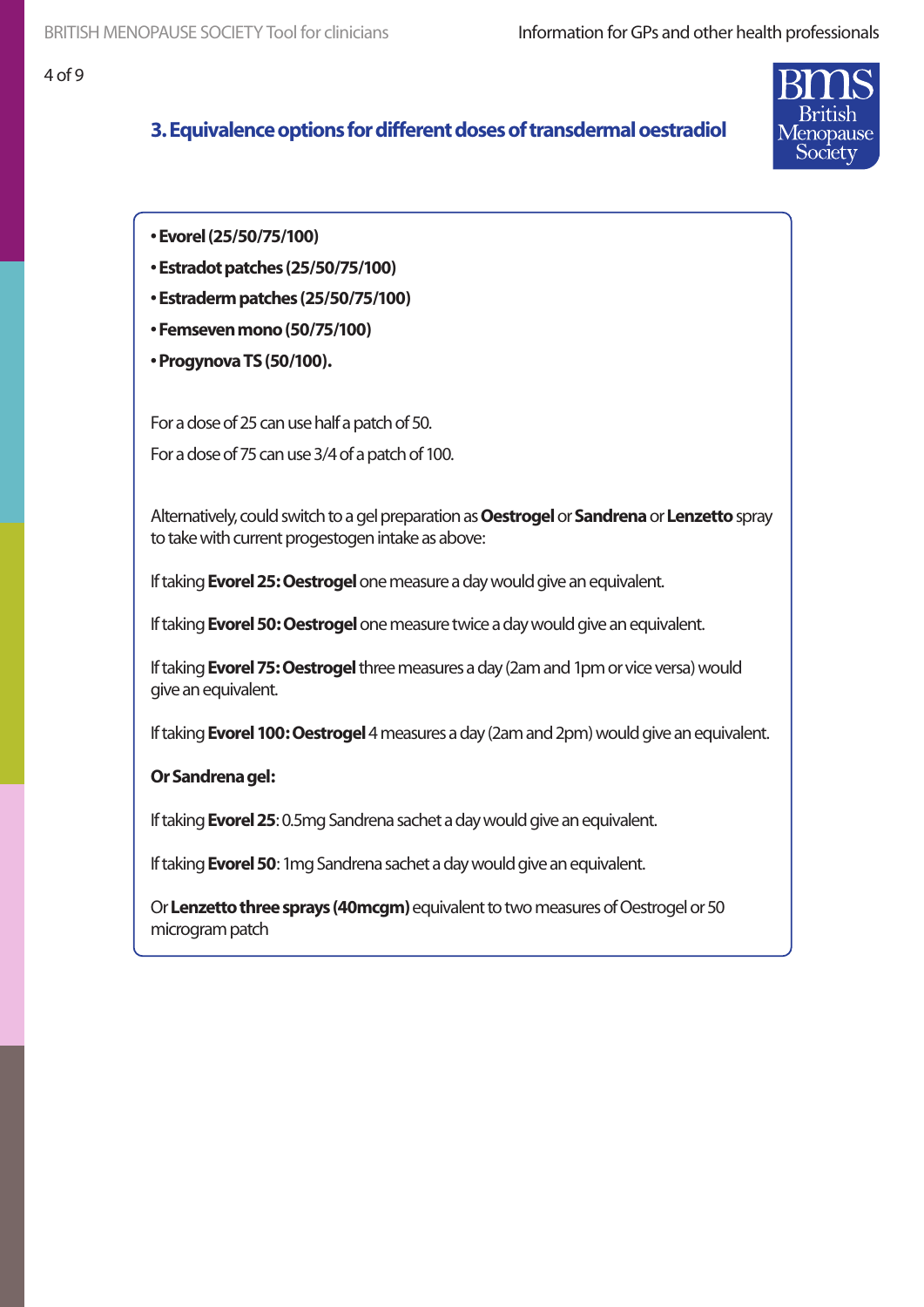### **3. Equivalence options for different doses of transdermal oestradiol**



**• Evorel (25/50/75/100)**

- **Estradot patches (25/50/75/100)**
- **Estraderm patches (25/50/75/100)**
- **Femseven mono (50/75/100)**
- **Progynova TS (50/100).**

For a dose of 25 can use half a patch of 50. For a dose of 75 can use 3/4 of a patch of 100.

Alternatively, could switch to a gel preparation as **Oestrogel** or **Sandrena** or **Lenzetto** spray to take with current progestogen intake as above:

If taking **Evorel 25: Oestrogel** one measure a day would give an equivalent.

If taking **Evorel 50: Oestrogel** one measure twice a day would give an equivalent.

If taking **Evorel 75: Oestrogel** three measures a day (2am and 1pm or vice versa) would give an equivalent.

If taking **Evorel 100: Oestrogel** 4 measures a day (2am and 2pm) would give an equivalent.

**Or Sandrena gel:**

If taking **Evorel 25**: 0.5mg Sandrena sachet a day would give an equivalent.

If taking **Evorel 50**: 1mg Sandrena sachet a day would give an equivalent.

Or **Lenzetto three sprays (40mcgm)** equivalent to two measures of Oestrogel or 50 microgram patch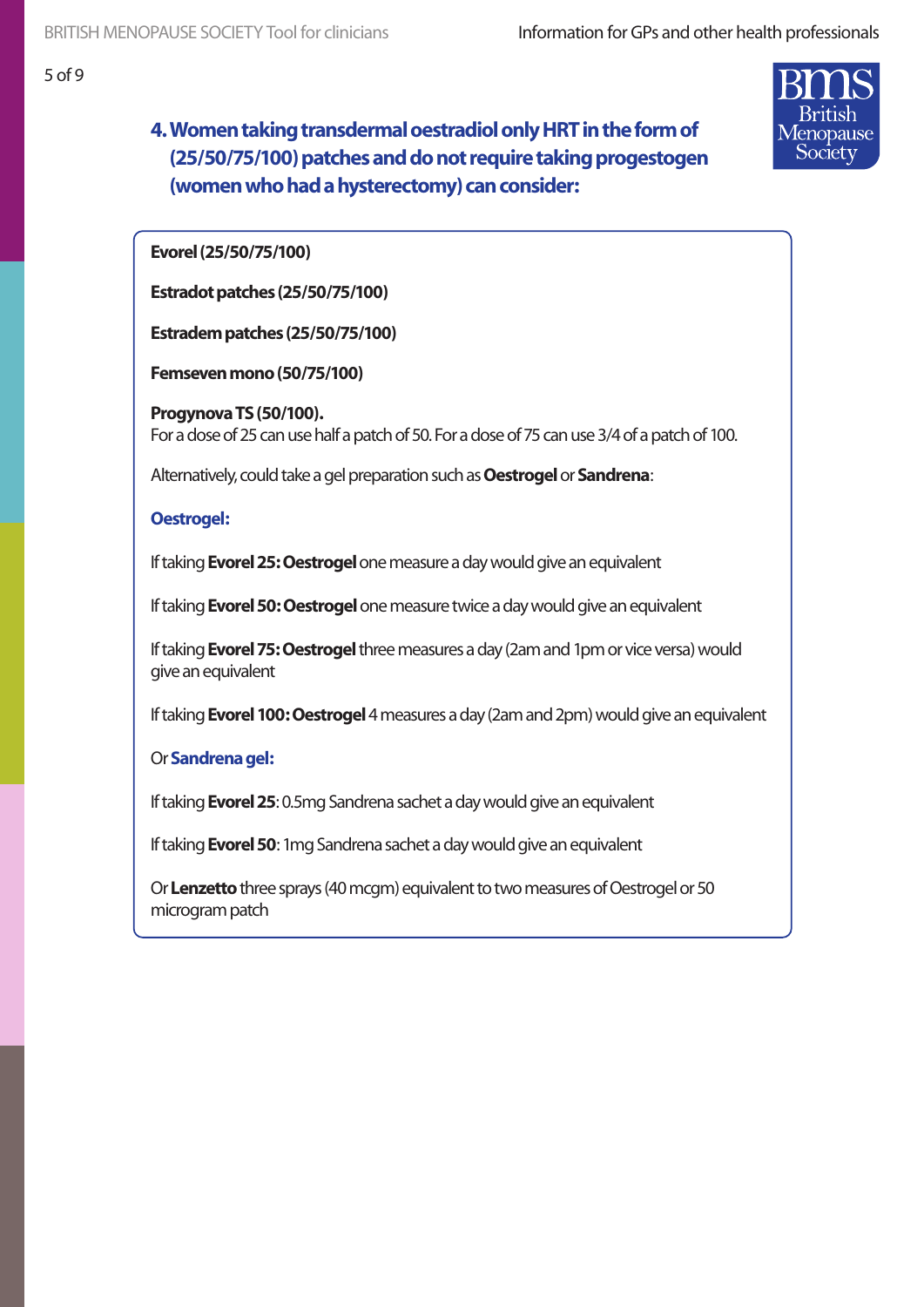# **4. Women taking transdermal oestradiol only HRT in the form of (25/50/75/100) patches and do not require taking progestogen (women who had a hysterectomy) can consider:**



**Evorel (25/50/75/100)**

**Estradot patches (25/50/75/100)** 

**Estradem patches (25/50/75/100)** 

**Femseven mono (50/75/100)** 

**Progynova TS (50/100).** For a dose of 25 can use half a patch of 50. For a dose of 75 can use 3/4 of a patch of 100.

Alternatively, could take a gel preparation such as **Oestrogel** or **Sandrena**:

#### **Oestrogel:**

If taking **Evorel 25: Oestrogel** one measure a day would give an equivalent

If taking **Evorel 50: Oestrogel** one measure twice a day would give an equivalent

If taking **Evorel 75: Oestrogel** three measures a day (2am and 1pm or vice versa) would give an equivalent

If taking **Evorel 100: Oestrogel** 4 measures a day (2am and 2pm) would give an equivalent

#### Or **Sandrena gel:**

If taking **Evorel 25**: 0.5mg Sandrena sachet a day would give an equivalent

If taking **Evorel 50**: 1mg Sandrena sachet a day would give an equivalent

Or **Lenzetto** three sprays (40 mcgm) equivalent to two measures of Oestrogel or 50 microgram patch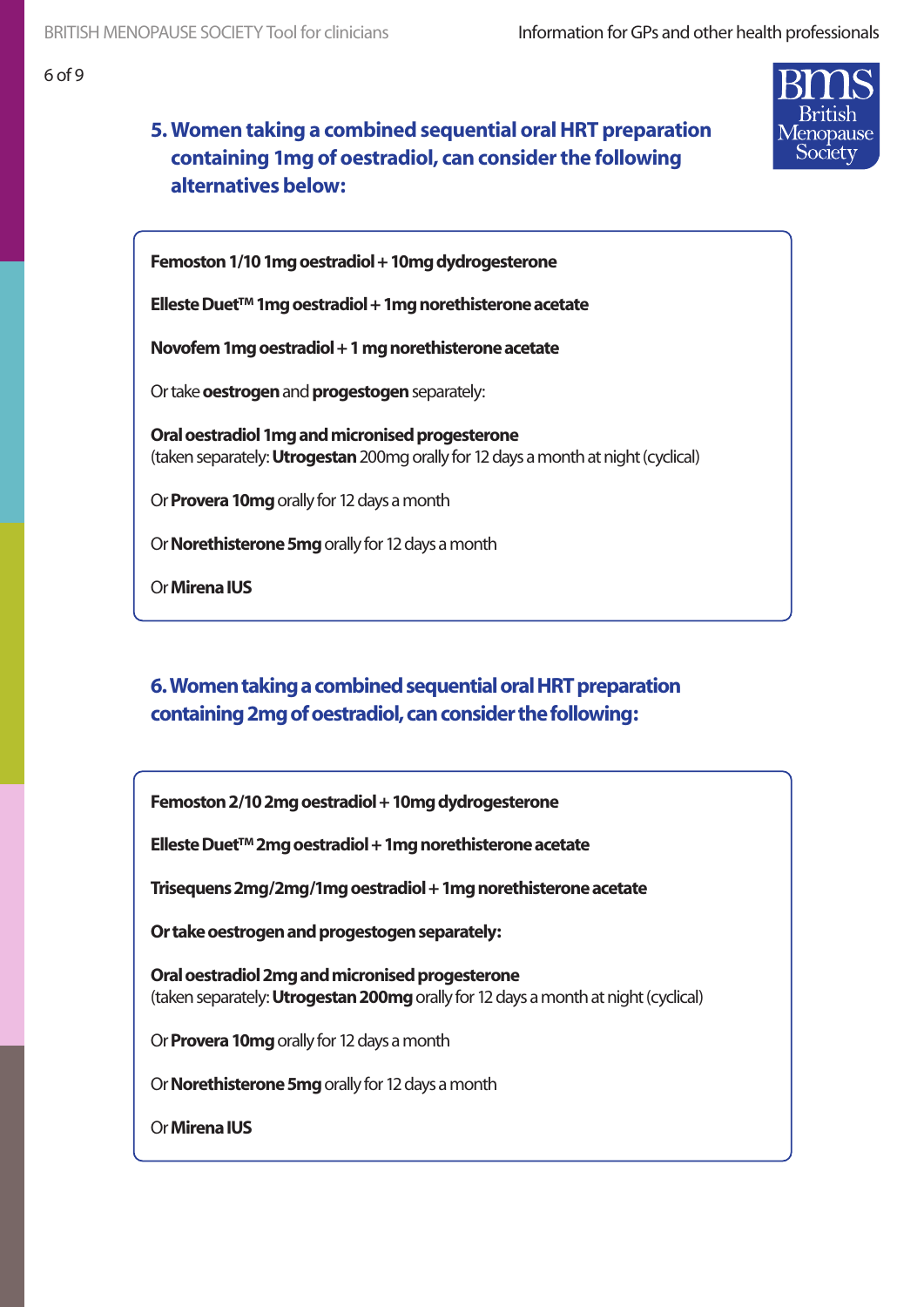# **5. Women taking a combined sequential oral HRT preparation containing 1mg of oestradiol, can consider the following alternatives below:**



**Femoston 1/10 1mg oestradiol + 10mg dydrogesterone**

**Elleste Duet™ 1mg oestradiol + 1mg norethisterone acetate**

**Novofem 1mg oestradiol + 1 mg norethisterone acetate**

Or take **oestrogen** and **progestogen** separately:

**Oral oestradiol 1mg and micronised progesterone** (taken separately: **Utrogestan** 200mg orally for 12 days a month at night (cyclical)

Or **Provera 10mg** orally for 12 days a month

Or **Norethisterone 5mg** orally for 12 days a month

Or **Mirena IUS**

### **6. Women taking a combined sequential oral HRT preparation containing 2mg of oestradiol, can consider the following:**

**Femoston 2/10 2mg oestradiol + 10mg dydrogesterone**

**Elleste Duet™ 2mg oestradiol + 1mg norethisterone acetate**

**Trisequens 2mg/2mg/1mg oestradiol + 1mg norethisterone acetate**

**Or take oestrogen and progestogen separately:**

**Oral oestradiol 2mg and micronised progesterone**  (taken separately: **Utrogestan 200mg** orally for 12 days a month at night (cyclical)

Or **Provera 10mg** orally for 12 days a month

Or **Norethisterone 5mg** orally for 12 days a month

Or **Mirena IUS**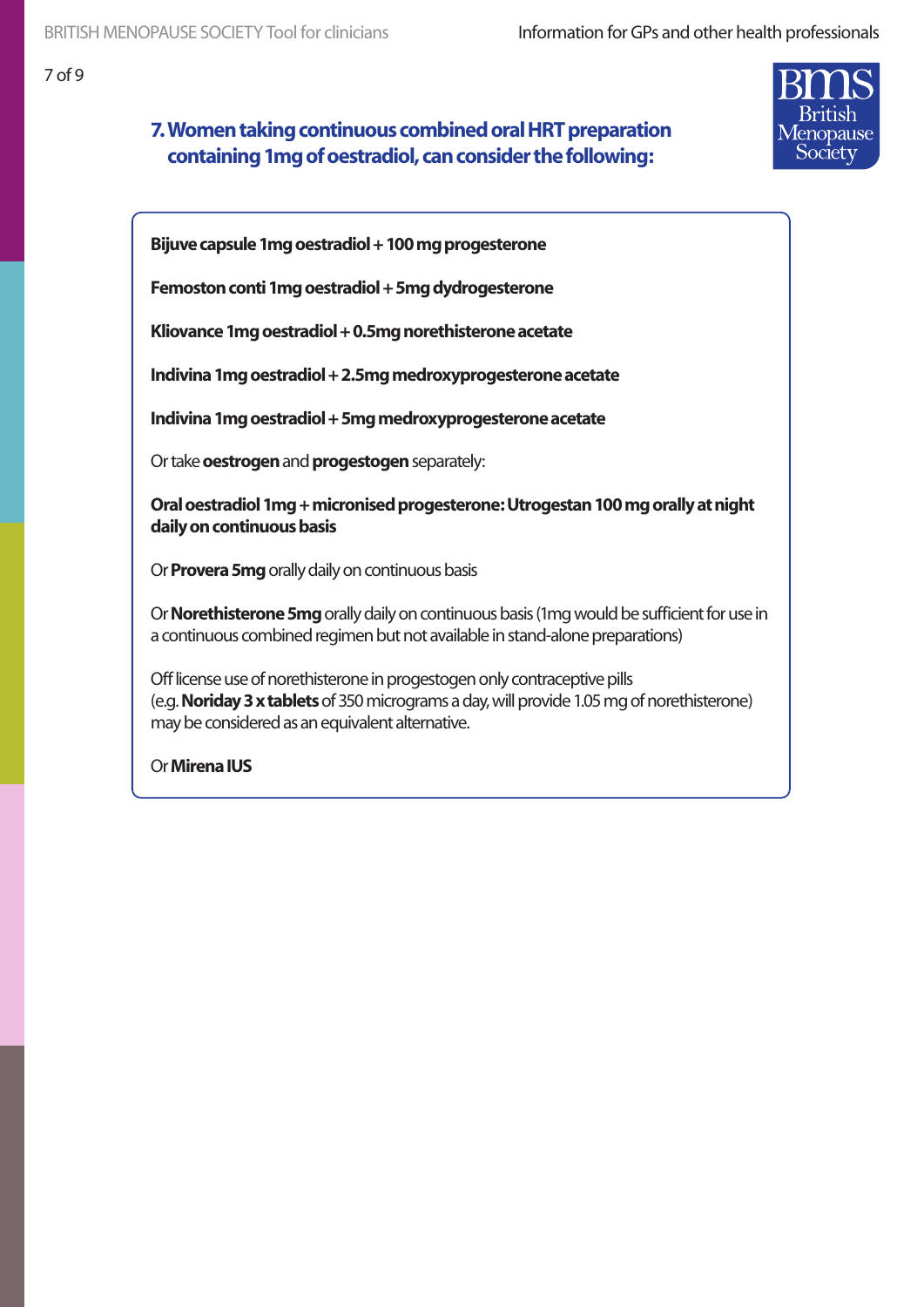## **7. Women taking continuous combined oral HRT preparation containing 1mg of oestradiol, can consider the following:**



**Bijuve capsule 1mg oestradiol + 100 mg progesterone**

**Femoston conti 1mg oestradiol + 5mg dydrogesterone**

**Kliovance 1mg oestradiol + 0.5mg norethisterone acetate**

**Indivina 1mg oestradiol + 2.5mg medroxyprogesterone acetate**

**Indivina 1mg oestradiol + 5mg medroxyprogesterone acetate**

Or take **oestrogen** and **progestogen** separately:

**Oral oestradiol 1mg + micronised progesterone: Utrogestan 100 mg orally at night daily on continuous basis**

Or **Provera 5mg** orally daily on continuous basis

Or **Norethisterone 5mg** orally daily on continuous basis (1mg would be sufficient for use in a continuous combined regimen but not available in stand-alone preparations)

Off license use of norethisterone in progestogen only contraceptive pills (e.g. **Noriday 3 x tablets** of 350 micrograms a day, will provide 1.05 mg of norethisterone) may be considered as an equivalent alternative.

Or **Mirena IUS**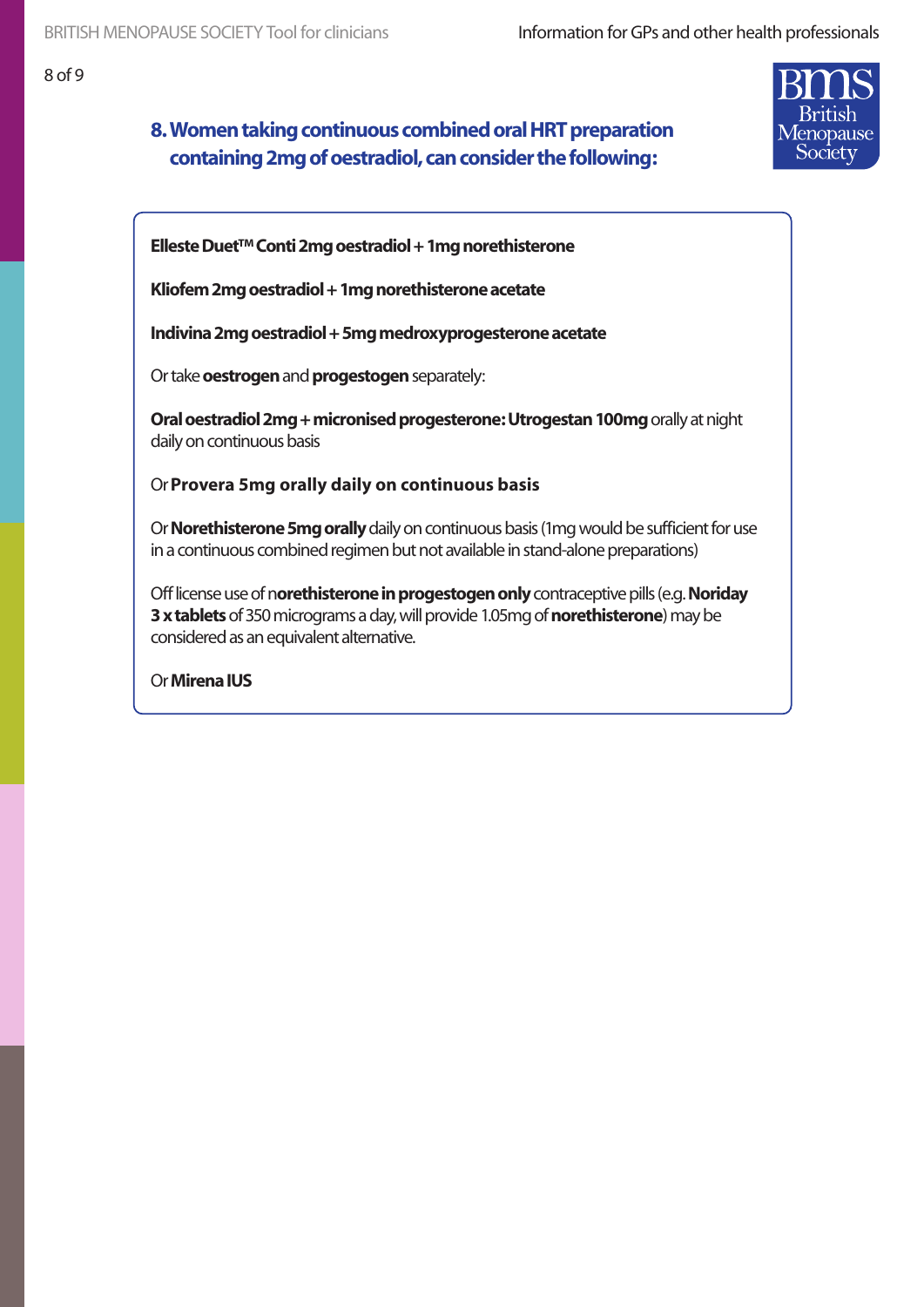# **8. Women taking continuous combined oral HRT preparation containing 2mg of oestradiol, can consider the following:**



**Elleste Duet™ Conti 2mg oestradiol + 1mg norethisterone**

**Kliofem 2mg oestradiol + 1mg norethisterone acetate**

**Indivina 2mg oestradiol + 5mg medroxyprogesterone acetate**

Or take **oestrogen** and **progestogen** separately:

**Oral oestradiol 2mg + micronised progesterone: Utrogestan 100mg orally at night** daily on continuous basis

Or **Provera 5mg orally daily on continuous basis**

Or **Norethisterone 5mg orally** daily on continuous basis (1mg would be sufficient for use in a continuous combined regimen but not available in stand-alone preparations)

Off license use of n**orethisterone in progestogen only** contraceptive pills (e.g. **Noriday 3 x tablets** of 350 micrograms a day, will provide 1.05mg of **norethisterone**) may be considered as an equivalent alternative.

Or **Mirena IUS**